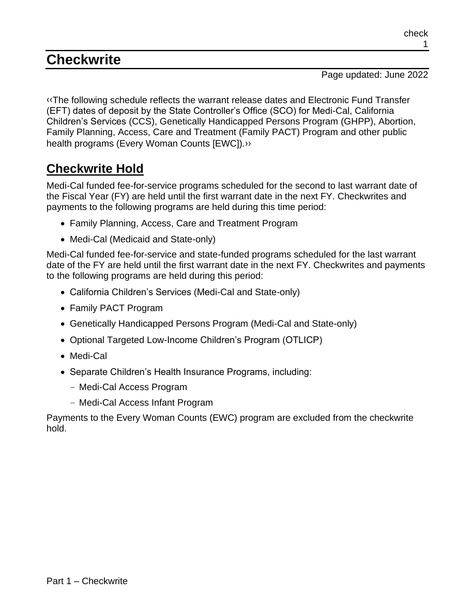# **Checkwrite**

Page updated: June 2022

[‹‹T](#page-3-0)he following schedule reflects the warrant release dates and Electronic Fund Transfer (EFT) dates of deposit by the State Controller's Office (SCO) for Medi-Cal, California Children's Services (CCS), Genetically Handicapped Persons Program (GHPP), Abortion, Family Planning, Access, Care and Treatment (Family PACT) Program and other public health programs (Every Woman Counts [EWC])[.››](#page-3-1)

# **Checkwrite Hold**

Medi-Cal funded fee-for-service programs scheduled for the second to last warrant date of the Fiscal Year (FY) are held until the first warrant date in the next FY. Checkwrites and payments to the following programs are held during this time period:

- Family Planning, Access, Care and Treatment Program
- Medi-Cal (Medicaid and State-only)

Medi-Cal funded fee-for-service and state-funded programs scheduled for the last warrant date of the FY are held until the first warrant date in the next FY. Checkwrites and payments to the following programs are held during this period:

- California Children's Services (Medi-Cal and State-only)
- Family PACT Program
- Genetically Handicapped Persons Program (Medi-Cal and State-only)
- Optional Targeted Low-Income Children's Program (OTLICP)
- Medi-Cal
- Separate Children's Health Insurance Programs, including:
	- Medi-Cal Access Program
	- Medi-Cal Access Infant Program

Payments to the Every Woman Counts (EWC) program are excluded from the checkwrite hold.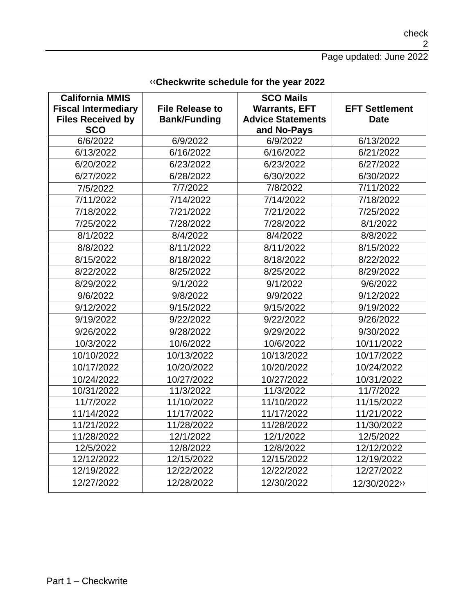check 2

Page updated: June 2022

| <b>California MMIS</b>     |                        | <b>SCO Mails</b>         |                       |
|----------------------------|------------------------|--------------------------|-----------------------|
| <b>Fiscal Intermediary</b> | <b>File Release to</b> | <b>Warrants, EFT</b>     | <b>EFT Settlement</b> |
| <b>Files Received by</b>   | <b>Bank/Funding</b>    | <b>Advice Statements</b> | <b>Date</b>           |
| <b>SCO</b>                 |                        | and No-Pays              |                       |
| 6/6/2022                   | 6/9/2022               | 6/9/2022                 | 6/13/2022             |
| 6/13/2022                  | 6/16/2022              | 6/16/2022                | 6/21/2022             |
| 6/20/2022                  | 6/23/2022              | 6/23/2022                | 6/27/2022             |
| 6/27/2022                  | 6/28/2022              | 6/30/2022                | 6/30/2022             |
| 7/5/2022                   | 7/7/2022               | 7/8/2022                 | 7/11/2022             |
| 7/11/2022                  | 7/14/2022              | 7/14/2022                | 7/18/2022             |
| 7/18/2022                  | 7/21/2022              | 7/21/2022                | 7/25/2022             |
| 7/25/2022                  | 7/28/2022              | 7/28/2022                | 8/1/2022              |
| 8/1/2022                   | 8/4/2022               | 8/4/2022                 | 8/8/2022              |
| 8/8/2022                   | 8/11/2022              | 8/11/2022                | 8/15/2022             |
| 8/15/2022                  | 8/18/2022              | 8/18/2022                | 8/22/2022             |
| 8/22/2022                  | 8/25/2022              | 8/25/2022                | 8/29/2022             |
| 8/29/2022                  | 9/1/2022               | 9/1/2022                 | 9/6/2022              |
| 9/6/2022                   | 9/8/2022               | 9/9/2022                 | 9/12/2022             |
| 9/12/2022                  | 9/15/2022              | 9/15/2022                | 9/19/2022             |
| 9/19/2022                  | 9/22/2022              | 9/22/2022                | 9/26/2022             |
| 9/26/2022                  | 9/28/2022              | 9/29/2022                | 9/30/2022             |
| 10/3/2022                  | 10/6/2022              | 10/6/2022                | 10/11/2022            |
| 10/10/2022                 | 10/13/2022             | 10/13/2022               | 10/17/2022            |
| 10/17/2022                 | 10/20/2022             | 10/20/2022               | 10/24/2022            |
| 10/24/2022                 | 10/27/2022             | 10/27/2022               | 10/31/2022            |
| 10/31/2022                 | 11/3/2022              | 11/3/2022                | 11/7/2022             |
| 11/7/2022                  | 11/10/2022             | 11/10/2022               | 11/15/2022            |
| 11/14/2022                 | 11/17/2022             | 11/17/2022               | 11/21/2022            |
| 11/21/2022                 | 11/28/2022             | 11/28/2022               | 11/30/2022            |
| 11/28/2022                 | 12/1/2022              | 12/1/2022                | 12/5/2022             |
| 12/5/2022                  | 12/8/2022              | 12/8/2022                | 12/12/2022            |
| 12/12/2022                 | 12/15/2022             | 12/15/2022               | 12/19/2022            |
| 12/19/2022                 | 12/22/2022             | 12/22/2022               | 12/27/2022            |
| 12/27/2022                 | 12/28/2022             | 12/30/2022               | 12/30/2022>>          |

### [‹‹](#page-3-0)**Checkwrite schedule for the year 2022**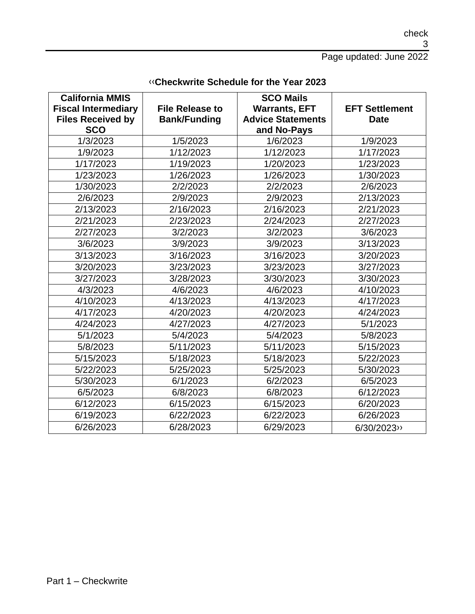check 3

Page updated: June 2022

| California MMIS            |                        | <b>SCO Mails</b>         |                       |
|----------------------------|------------------------|--------------------------|-----------------------|
| <b>Fiscal Intermediary</b> | <b>File Release to</b> | <b>Warrants, EFT</b>     | <b>EFT Settlement</b> |
| <b>Files Received by</b>   | <b>Bank/Funding</b>    | <b>Advice Statements</b> | <b>Date</b>           |
| <b>SCO</b>                 |                        | and No-Pays              |                       |
| 1/3/2023                   | 1/5/2023               | 1/6/2023                 | 1/9/2023              |
| 1/9/2023                   | 1/12/2023              | 1/12/2023                | 1/17/2023             |
| 1/17/2023                  | 1/19/2023              | 1/20/2023                | 1/23/2023             |
| 1/23/2023                  | 1/26/2023              | 1/26/2023                | 1/30/2023             |
| 1/30/2023                  | 2/2/2023               | 2/2/2023                 | 2/6/2023              |
| 2/6/2023                   | 2/9/2023               | 2/9/2023                 | 2/13/2023             |
| 2/13/2023                  | 2/16/2023              | 2/16/2023                | 2/21/2023             |
| 2/21/2023                  | 2/23/2023              | 2/24/2023                | 2/27/2023             |
| 2/27/2023                  | 3/2/2023               | 3/2/2023                 | 3/6/2023              |
| 3/6/2023                   | 3/9/2023               | 3/9/2023                 | 3/13/2023             |
| 3/13/2023                  | 3/16/2023              | 3/16/2023                | 3/20/2023             |
| 3/20/2023                  | 3/23/2023              | 3/23/2023                | 3/27/2023             |
| 3/27/2023                  | 3/28/2023              | 3/30/2023                | 3/30/2023             |
| 4/3/2023                   | 4/6/2023               | 4/6/2023                 | 4/10/2023             |
| 4/10/2023                  | 4/13/2023              | 4/13/2023                | 4/17/2023             |
| 4/17/2023                  | 4/20/2023              | 4/20/2023                | 4/24/2023             |
| 4/24/2023                  | 4/27/2023              | 4/27/2023                | 5/1/2023              |
| 5/1/2023                   | 5/4/2023               | 5/4/2023                 | 5/8/2023              |
| 5/8/2023                   | 5/11/2023              | 5/11/2023                | 5/15/2023             |
| 5/15/2023                  | 5/18/2023              | 5/18/2023                | 5/22/2023             |
| 5/22/2023                  | 5/25/2023              | 5/25/2023                | 5/30/2023             |
| 5/30/2023                  | 6/1/2023               | 6/2/2023                 | 6/5/2023              |
| 6/5/2023                   | 6/8/2023               | 6/8/2023                 | 6/12/2023             |
| 6/12/2023                  | 6/15/2023              | 6/15/2023                | 6/20/2023             |
| 6/19/2023                  | 6/22/2023              | 6/22/2023                | 6/26/2023             |
| 6/26/2023                  | 6/28/2023              | 6/29/2023                | 6/30/2023             |

#### [‹‹](#page-3-0)**Checkwrite Schedule for the Year 2023**